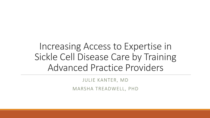# Increasing Access to Expertise in Sickle Cell Disease Care by Training Advanced Practice Providers

JULIE KANTER, MD

MARSHA TREADWELL, PHD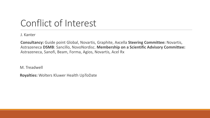# Conflict of Interest

J. Kanter

**Consultancy:** Guide point Global, Novartis, Graphite, Axcella **Steering Committee:** Novartis, Astrazeneca **DSMB**: Sancillo, NovoNordisc. **Membership on a Scientific Advisory Committee:**  Astrazeneca, Sanofi, Beam, Forma, Agios, Novartis, Acel Rx

M. Treadwell

**Royalties:** Wolters Kluwer Health UpToDate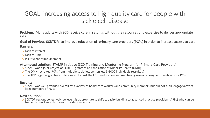### GOAL: increasing access to high quality care for people with sickle cell disease

**Problem**: Many adults with SCD receive care in settings without the resources and expertise to deliver appropriate care.

**Goal of Previous SCDTDP**: to improve education of primary care providers (PCPs) in order to increase access to care **Barriers:** 

- o Lack of interest
- o Lack of Time
- o Insufficient reimbursement

**Attempted solution:** STAMP initiative (SCD Training and Mentoring Program for Primary Care Providers)

- o STAMP was a joint project of SCDTDP grantees and the Office of Minority Health (OMH)
- o The OMH recruited PCPs from multiple societies, centers etc (>1000 individuals recruited)
- o The TDP regional grantees collaborated to host the ECHO education and mentoring sessions designed specifically for PCPs.

#### **Results**:

o STAMP was well attended overall by a variety of healthcare workers and community members but did not fulfill engage/attract large numbers of PCPs

#### **Next solution:**

o SCDTDP regions collectively believe it is appropriate to shift capacity building to advanced practice providers (APPs) who can be trained to work as extensions of sickle specialists.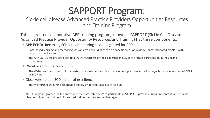# SAPPORT Program:

### Sickle cell disease Advanced Practice Providers Opportunities Resources and Training Program

This all grantee collaborative APP training program, known as S**APP**ORT (Sickle Cell Disease Advanced Practice Provider Opportunity Resources and Training) has three components.

- **APP ECHO:** Recurring ECHO telementoring sessions geared for APP.
	- Case-based learning and mentoring sessions with brief didactics on a specific areas of sickle cell care, facilitated by APPs with expertise in sickle care.
	- The APP ECHO sessions are open to all APPs regardless of their expertise in SCD care or their participation in the second component.
- Web-based online curriculum
	- The Web-based curriculum will be hosted on a designed learning management platform and allow asynchronous education of APPS in SCD care.
- **Observership at a SCD center of excellence** 
	- This will further train APPs to provide quality evidenced-based care for SCD.

All TDP regional grantees will identify and refer interested APPs to participate in S**APP**ORT, provide curriculum content, and provide observership opportunities to interested trainees in their respective regions.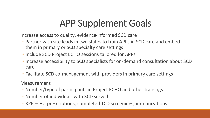# APP Supplement Goals

Increase access to quality, evidence-informed SCD care

- Partner with site leads in two states to train APPs in SCD care and embed them in primary or SCD specialty care settings
- Include SCD Project ECHO sessions tailored for APPs
- Increase accessibility to SCD specialists for on-demand consultation about SCD care
- Facilitate SCD co-management with providers in primary care settings

Measurement

- Number/type of participants in Project ECHO and other trainings
- Number of individuals with SCD served
- KPIs HU prescriptions, completed TCD screenings, immunizations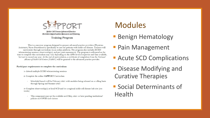

Sickle Cell Disease Advanced Practice Providers Opportunities Resources and Training

**Training Program** 

This is a one-year program designed to prepare advanced practice providers (Physician Assistants, Nurse Practitioners) specifically to care for patients with sickle cell disease. Trainees will matriculate through curriculum via an online platform. The program also includes ECHO telementoring sessions, observership(s), and  $pre/post$  assessments. The program is self-paced so the time to complete this curriculum may vary depending on the APPs level of expertise and time available, but not to exceed one year. At the end of matriculation, a certificate of completion from the National Alliance of Sickle Cell Centers (NASCC) will be granted to the advanced practice provider.

#### Participant requirements to complete the curriculum:

- 1- Attend multiple ECHO telementoring sessions
- 2- Complete the online SAPPORT Curriculum
	- Scheduled launch will be February 2021 with modules being released on a rolling basis through Spring and Summer 2021

3- Complete observership(s) at local SCD and/or a regional sickle cell disease hub site (2-4 weeks)

This component may not be available until May, 2021 or later pending institutions' policies on COVID and visitors

## Modules

- **Benign Hematology**
- **Pain Management**
- **Execute SCD Complications**
- **Disease Modifying and** Curative Therapies
- Social Determinants of Health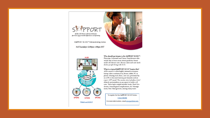

Sickle Cell Disease Advanced Practice Providers Opportunities Resources and Training

SAPPORT ECHO<sup>®</sup> Telementoring Series:

3rd Thursdays 12:00pm-1:00pm EST



Who should participate in the SAPPORT ECHO<sup>\*</sup>? Physician Assistants and Nurse Practitioners who would like to learn more about guideline-based sickle cell disease care, discuss cases and care models for people living with SCD.

What is a typical SAPPORT ECHO' Session like? APPs connect to this highly interactive telementoring video conference by phone, tablet, PC or phone. During each clinic, one case, presented by an APP, is discussed among participants and an expert APP panel. The session also includes a brief didactic presentation on an aspect of sickle cell care. These topics might include Acute Chest Syndrome, Neurological complications, ED Management, Pain Management, among many more.

To register for the SAPPORT ECHO Series: **Click HERE** For more information, email sinerge@jhmi.edu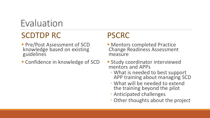Evaluation

## SCDTDP RC

**Pre/Post Assessment of SCD** knowledge based on existing guidelines

**Confidence in knowledge of SCD** 

## PSCRC

- **Mentors completed Practice** Change Readiness Assessment measure
- **Study coordinator interviewed** mentors and APPs
	- What is needed to best support APP training about managing SCD
	- What will be needed to extend the training beyond the pilot
	- Anticipated challenges
	- Other thoughts about the project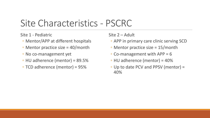# Site Characteristics - PSCRC

Site 1 - Pediatric

- Mentor/APP at different hospitals
- Mentor practice size = 40/month
- No co-management yet
- HU adherence (mentor) = 89.5%
- TCD adherence (mentor) = 95%

### Site 2 – Adult

- APP in primary care clinic serving SCD
- Mentor practice size = 15/month
- Co-management with APP = 6
- HU adherence (mentor) = 40%
- Up to date PCV and PPSV (mentor) = 40%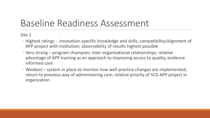# Baseline Readiness Assessment

Site 1

- Highest ratings innovation-specific knowledge and skills; compatibility/alignment of APP project with institution; observability of results highest possible
- Very strong program champion; inter-organizational relationships; relative advantage of APP training as an approach to improving access to quality, evidence informed care
- Weakest system in place to monitor how well practice changes are implemented; return to previous way of administering care; relative priority of SCD APP project in organization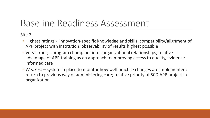# Baseline Readiness Assessment

Site 2

- Highest ratings innovation-specific knowledge and skills; compatibility/alignment of APP project with institution; observability of results highest possible
- Very strong program champion; inter-organizational relationships; relative advantage of APP training as an approach to improving access to quality, evidence informed care
- Weakest system in place to monitor how well practice changes are implemented; return to previous way of administering care; relative priority of SCD APP project in organization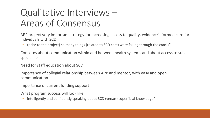# Qualitative Interviews – Areas of Consensus

APP project very important strategy for increasing access to quality, evidence informed care for individuals with SCD

◦ "(prior to the project) so many things (related to SCD care) were falling through the cracks"

Concerns about communication within and between health systems and about access to subspecialists

Need for staff education about SCD

Importance of collegial relationship between APP and mentor, with easy and open communication

Importance of current funding support

What program success will look like

◦ "intelligently and confidently speaking about SCD (versus) superficial knowledge"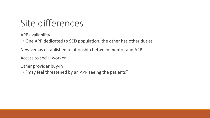# Site differences

APP availability

◦ One APP dedicated to SCD population, the other has other duties

New versus established relationship between mentor and APP

Access to social worker

Other provider buy-in

◦ "may feel threatened by an APP seeing the patients"